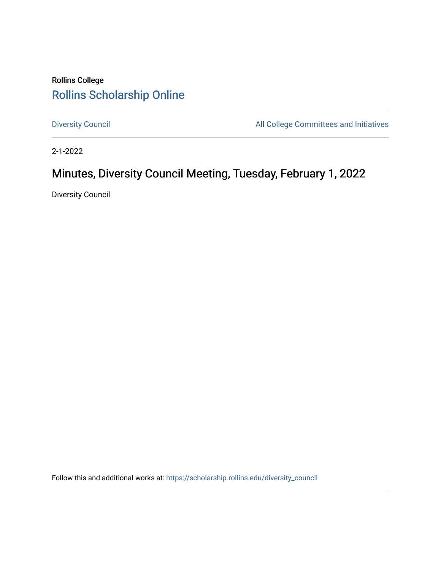# Rollins College [Rollins Scholarship Online](https://scholarship.rollins.edu/)

[Diversity Council](https://scholarship.rollins.edu/diversity_council) **All College Committees and Initiatives** 

2-1-2022

# Minutes, Diversity Council Meeting, Tuesday, February 1, 2022

Diversity Council

Follow this and additional works at: [https://scholarship.rollins.edu/diversity\\_council](https://scholarship.rollins.edu/diversity_council?utm_source=scholarship.rollins.edu%2Fdiversity_council%2F35&utm_medium=PDF&utm_campaign=PDFCoverPages)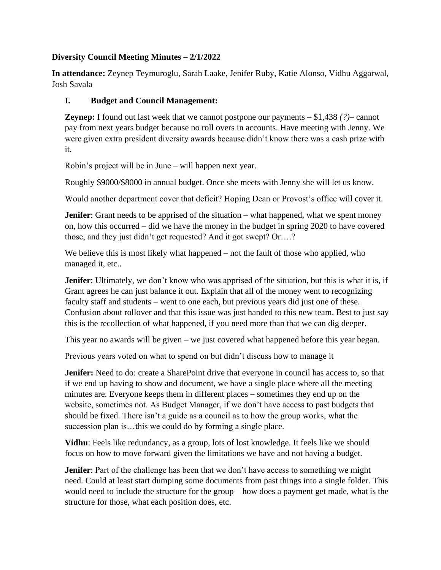#### **Diversity Council Meeting Minutes – 2/1/2022**

**In attendance:** Zeynep Teymuroglu, Sarah Laake, Jenifer Ruby, Katie Alonso, Vidhu Aggarwal, Josh Savala

#### **I. Budget and Council Management:**

**Zeynep:** I found out last week that we cannot postpone our payments – \$1,438 *(?)*– cannot pay from next years budget because no roll overs in accounts. Have meeting with Jenny. We were given extra president diversity awards because didn't know there was a cash prize with it.

Robin's project will be in June – will happen next year.

Roughly \$9000/\$8000 in annual budget. Once she meets with Jenny she will let us know.

Would another department cover that deficit? Hoping Dean or Provost's office will cover it.

**Jenifer**: Grant needs to be apprised of the situation – what happened, what we spent money on, how this occurred – did we have the money in the budget in spring 2020 to have covered those, and they just didn't get requested? And it got swept? Or….?

We believe this is most likely what happened – not the fault of those who applied, who managed it, etc..

**Jenifer**: Ultimately, we don't know who was apprised of the situation, but this is what it is, if Grant agrees he can just balance it out. Explain that all of the money went to recognizing faculty staff and students – went to one each, but previous years did just one of these. Confusion about rollover and that this issue was just handed to this new team. Best to just say this is the recollection of what happened, if you need more than that we can dig deeper.

This year no awards will be given – we just covered what happened before this year began.

Previous years voted on what to spend on but didn't discuss how to manage it

**Jenifer:** Need to do: create a SharePoint drive that everyone in council has access to, so that if we end up having to show and document, we have a single place where all the meeting minutes are. Everyone keeps them in different places – sometimes they end up on the website, sometimes not. As Budget Manager, if we don't have access to past budgets that should be fixed. There isn't a guide as a council as to how the group works, what the succession plan is...this we could do by forming a single place.

**Vidhu**: Feels like redundancy, as a group, lots of lost knowledge. It feels like we should focus on how to move forward given the limitations we have and not having a budget.

**Jenifer**: Part of the challenge has been that we don't have access to something we might need. Could at least start dumping some documents from past things into a single folder. This would need to include the structure for the group – how does a payment get made, what is the structure for those, what each position does, etc.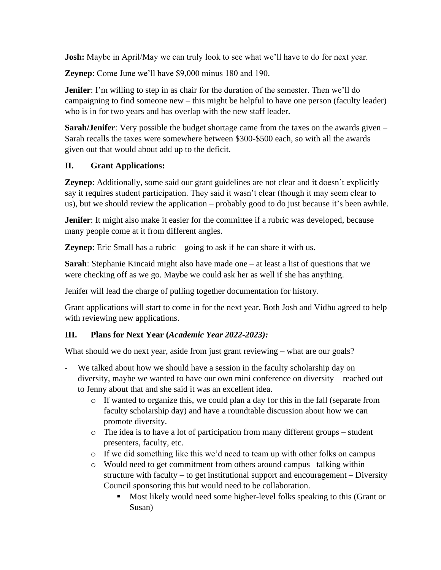**Josh:** Maybe in April/May we can truly look to see what we'll have to do for next year.

**Zeynep**: Come June we'll have \$9,000 minus 180 and 190.

**Jenifer**: I'm willing to step in as chair for the duration of the semester. Then we'll do campaigning to find someone new – this might be helpful to have one person (faculty leader) who is in for two years and has overlap with the new staff leader.

**Sarah/Jenifer**: Very possible the budget shortage came from the taxes on the awards given – Sarah recalls the taxes were somewhere between \$300-\$500 each, so with all the awards given out that would about add up to the deficit.

## **II. Grant Applications:**

**Zeynep:** Additionally, some said our grant guidelines are not clear and it doesn't explicitly say it requires student participation. They said it wasn't clear (though it may seem clear to us), but we should review the application – probably good to do just because it's been awhile.

**Jenifer**: It might also make it easier for the committee if a rubric was developed, because many people come at it from different angles.

**Zeynep**: Eric Small has a rubric – going to ask if he can share it with us.

**Sarah**: Stephanie Kincaid might also have made one – at least a list of questions that we were checking off as we go. Maybe we could ask her as well if she has anything.

Jenifer will lead the charge of pulling together documentation for history.

Grant applications will start to come in for the next year. Both Josh and Vidhu agreed to help with reviewing new applications.

## **III. Plans for Next Year (***Academic Year 2022-2023):*

What should we do next year, aside from just grant reviewing – what are our goals?

- We talked about how we should have a session in the faculty scholarship day on diversity, maybe we wanted to have our own mini conference on diversity – reached out to Jenny about that and she said it was an excellent idea.
	- o If wanted to organize this, we could plan a day for this in the fall (separate from faculty scholarship day) and have a roundtable discussion about how we can promote diversity.
	- o The idea is to have a lot of participation from many different groups student presenters, faculty, etc.
	- $\circ$  If we did something like this we'd need to team up with other folks on campus
	- o Would need to get commitment from others around campus– talking within structure with faculty – to get institutional support and encouragement – Diversity Council sponsoring this but would need to be collaboration.
		- Most likely would need some higher-level folks speaking to this (Grant or Susan)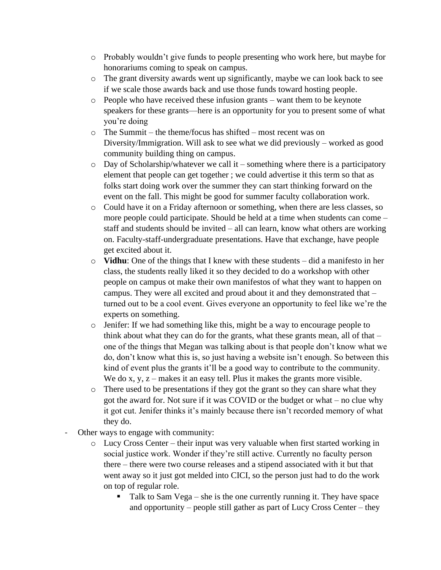- o Probably wouldn't give funds to people presenting who work here, but maybe for honorariums coming to speak on campus.
- o The grant diversity awards went up significantly, maybe we can look back to see if we scale those awards back and use those funds toward hosting people.
- o People who have received these infusion grants want them to be keynote speakers for these grants—here is an opportunity for you to present some of what you're doing
- o The Summit the theme/focus has shifted most recent was on Diversity/Immigration. Will ask to see what we did previously – worked as good community building thing on campus.
- o Day of Scholarship/whatever we call it something where there is a participatory element that people can get together ; we could advertise it this term so that as folks start doing work over the summer they can start thinking forward on the event on the fall. This might be good for summer faculty collaboration work.
- o Could have it on a Friday afternoon or something, when there are less classes, so more people could participate. Should be held at a time when students can come – staff and students should be invited – all can learn, know what others are working on. Faculty-staff-undergraduate presentations. Have that exchange, have people get excited about it.
- o **Vidhu**: One of the things that I knew with these students did a manifesto in her class, the students really liked it so they decided to do a workshop with other people on campus ot make their own manifestos of what they want to happen on campus. They were all excited and proud about it and they demonstrated that – turned out to be a cool event. Gives everyone an opportunity to feel like we're the experts on something.
- $\circ$  Jenifer: If we had something like this, might be a way to encourage people to think about what they can do for the grants, what these grants mean, all of that – one of the things that Megan was talking about is that people don't know what we do, don't know what this is, so just having a website isn't enough. So between this kind of event plus the grants it'll be a good way to contribute to the community. We do x, y,  $z$  – makes it an easy tell. Plus it makes the grants more visible.
- o There used to be presentations if they got the grant so they can share what they got the award for. Not sure if it was COVID or the budget or what – no clue why it got cut. Jenifer thinks it's mainly because there isn't recorded memory of what they do.
- Other ways to engage with community:
	- o Lucy Cross Center their input was very valuable when first started working in social justice work. Wonder if they're still active. Currently no faculty person there – there were two course releases and a stipend associated with it but that went away so it just got melded into CICI, so the person just had to do the work on top of regular role.
		- Talk to Sam Vega she is the one currently running it. They have space and opportunity – people still gather as part of Lucy Cross Center – they